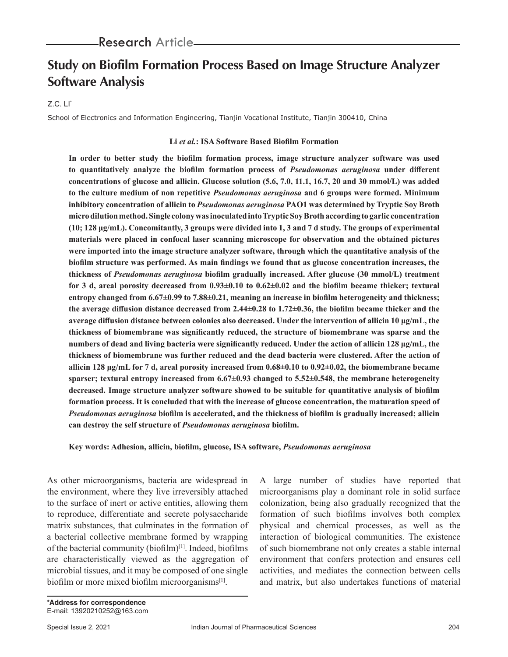# **Study on Biofilm Formation Process Based on Image Structure Analyzer Software Analysis**

#### $Z.C.$   $LI^*$

School of Electronics and Information Engineering, Tianjin Vocational Institute, Tianjin 300410, China

#### **Li** *et al.***: ISA Software Based Biofilm Formation**

**In order to better study the biofilm formation process, image structure analyzer software was used to quantitatively analyze the biofilm formation process of** *Pseudomonas aeruginosa* **under different concentrations of glucose and allicin. Glucose solution (5.6, 7.0, 11.1, 16.7, 20 and 30 mmol/L) was added to the culture medium of non repetitive** *Pseudomonas aeruginosa* **and 6 groups were formed. Minimum inhibitory concentration of allicin to** *Pseudomonas aeruginosa* **PAO1 was determined by Tryptic Soy Broth micro dilution method. Single colony was inoculated into Tryptic Soy Broth according to garlic concentration (10; 128 μg/mL). Concomitantly, 3 groups were divided into 1, 3 and 7 d study. The groups of experimental materials were placed in confocal laser scanning microscope for observation and the obtained pictures were imported into the image structure analyzer software, through which the quantitative analysis of the biofilm structure was performed. As main findings we found that as glucose concentration increases, the thickness of** *Pseudomonas aeruginosa* **biofilm gradually increased. After glucose (30 mmol/L) treatment for 3 d, areal porosity decreased from 0.93±0.10 to 0.62±0.02 and the biofilm became thicker; textural entropy changed from 6.67±0.99 to 7.88±0.21, meaning an increase in biofilm heterogeneity and thickness; the average diffusion distance decreased from 2.44±0.28 to 1.72±0.36, the biofilm became thicker and the average diffusion distance between colonies also decreased. Under the intervention of allicin 10 μg/mL, the thickness of biomembrane was significantly reduced, the structure of biomembrane was sparse and the numbers of dead and living bacteria were significantly reduced. Under the action of allicin 128 μg/mL, the thickness of biomembrane was further reduced and the dead bacteria were clustered. After the action of allicin 128 μg/mL for 7 d, areal porosity increased from 0.68±0.10 to 0.92±0.02, the biomembrane became sparser; textural entropy increased from 6.67±0.93 changed to 5.52±0.548, the membrane heterogeneity decreased. Image structure analyzer software showed to be suitable for quantitative analysis of biofilm formation process. It is concluded that with the increase of glucose concentration, the maturation speed of**  *Pseudomonas aeruginosa* **biofilm is accelerated, and the thickness of biofilm is gradually increased; allicin can destroy the self structure of** *Pseudomonas aeruginosa* **biofilm.**

**Key words: Adhesion, allicin, biofilm, glucose, ISA software,** *Pseudomonas aeruginosa*

As other microorganisms, bacteria are widespread in the environment, where they live irreversibly attached to the surface of inert or active entities, allowing them to reproduce, differentiate and secrete polysaccharide matrix substances, that culminates in the formation of a bacterial collective membrane formed by wrapping of the bacterial community (biofilm)<sup>[1]</sup>. Indeed, biofilms are characteristically viewed as the aggregation of microbial tissues, and it may be composed of one single biofilm or more mixed biofilm microorganisms $[1]$ .

A large number of studies have reported that microorganisms play a dominant role in solid surface colonization, being also gradually recognized that the formation of such biofilms involves both complex physical and chemical processes, as well as the interaction of biological communities. The existence of such biomembrane not only creates a stable internal environment that confers protection and ensures cell activities, and mediates the connection between cells and matrix, but also undertakes functions of material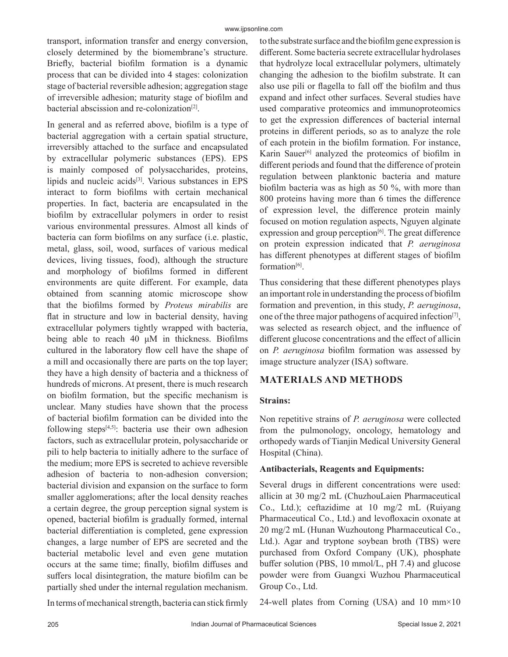transport, information transfer and energy conversion, closely determined by the biomembrane's structure. Briefly, bacterial biofilm formation is a dynamic process that can be divided into 4 stages: colonization stage of bacterial reversible adhesion; aggregation stage of irreversible adhesion; maturity stage of biofilm and bacterial abscission and re-colonization $[2]$ .

In general and as referred above, biofilm is a type of bacterial aggregation with a certain spatial structure, irreversibly attached to the surface and encapsulated by extracellular polymeric substances (EPS). EPS is mainly composed of polysaccharides, proteins, lipids and nucleic acids<sup>[3]</sup>. Various substances in EPS interact to form biofilms with certain mechanical properties. In fact, bacteria are encapsulated in the biofilm by extracellular polymers in order to resist various environmental pressures. Almost all kinds of bacteria can form biofilms on any surface (i.e. plastic, metal, glass, soil, wood, surfaces of various medical devices, living tissues, food), although the structure and morphology of biofilms formed in different environments are quite different. For example, data obtained from scanning atomic microscope show that the biofilms formed by *Proteus mirabilis* are flat in structure and low in bacterial density, having extracellular polymers tightly wrapped with bacteria, being able to reach 40  $\mu$ M in thickness. Biofilms cultured in the laboratory flow cell have the shape of a mill and occasionally there are parts on the top layer; they have a high density of bacteria and a thickness of hundreds of microns. At present, there is much research on biofilm formation, but the specific mechanism is unclear. Many studies have shown that the process of bacterial biofilm formation can be divided into the following steps $[4,5]$ : bacteria use their own adhesion factors, such as extracellular protein, polysaccharide or pili to help bacteria to initially adhere to the surface of the medium; more EPS is secreted to achieve reversible adhesion of bacteria to non-adhesion conversion; bacterial division and expansion on the surface to form smaller agglomerations; after the local density reaches a certain degree, the group perception signal system is opened, bacterial biofilm is gradually formed, internal bacterial differentiation is completed, gene expression changes, a large number of EPS are secreted and the bacterial metabolic level and even gene mutation occurs at the same time; finally, biofilm diffuses and suffers local disintegration, the mature biofilm can be partially shed under the internal regulation mechanism.

to the substrate surface and the biofilm gene expression is different. Some bacteria secrete extracellular hydrolases that hydrolyze local extracellular polymers, ultimately changing the adhesion to the biofilm substrate. It can also use pili or flagella to fall off the biofilm and thus expand and infect other surfaces. Several studies have used comparative proteomics and immunoproteomics to get the expression differences of bacterial internal proteins in different periods, so as to analyze the role of each protein in the biofilm formation. For instance, Karin Sauer<sup>[6]</sup> analyzed the proteomics of biofilm in different periods and found that the difference of protein regulation between planktonic bacteria and mature biofilm bacteria was as high as 50 %, with more than 800 proteins having more than 6 times the difference of expression level, the difference protein mainly focused on motion regulation aspects, Nguyen alginate expression and group perception<sup>[6]</sup>. The great difference on protein expression indicated that *P. aeruginosa* has different phenotypes at different stages of biofilm formation<sup>[6]</sup>.

Thus considering that these different phenotypes plays an important role in understanding the process of biofilm formation and prevention, in this study, *P. aeruginosa*, one of the three major pathogens of acquired infection $[7]$ , was selected as research object, and the influence of different glucose concentrations and the effect of allicin on *P. aeruginosa* biofilm formation was assessed by image structure analyzer (ISA) software.

# **MATERIALS AND METHODS**

### **Strains:**

Non repetitive strains of *P. aeruginosa* were collected from the pulmonology, oncology, hematology and orthopedy wards of Tianjin Medical University General Hospital (China).

### **Antibacterials, Reagents and Equipments:**

Several drugs in different concentrations were used: allicin at 30 mg/2 mL (ChuzhouLaien Pharmaceutical Co., Ltd.); ceftazidime at 10 mg/2 mL (Ruiyang Pharmaceutical Co., Ltd.) and levofloxacin oxonate at 20 mg/2 mL (Hunan Wuzhoutong Pharmaceutical Co., Ltd.). Agar and tryptone soybean broth (TBS) were purchased from Oxford Company (UK), phosphate buffer solution (PBS, 10 mmol/L, pH 7.4) and glucose powder were from Guangxi Wuzhou Pharmaceutical Group Co., Ltd.

In terms of mechanical strength, bacteria can stick firmly

24-well plates from Corning (USA) and 10 mm×10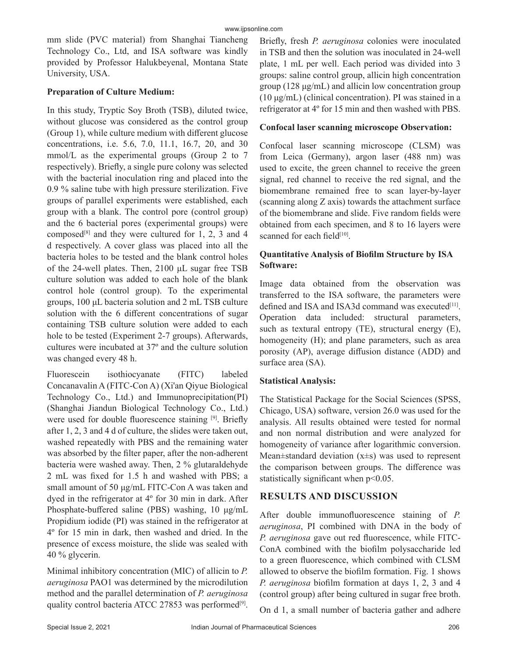mm slide (PVC material) from Shanghai Tiancheng Technology Co., Ltd, and ISA software was kindly provided by Professor Halukbeyenal, Montana State University, USA.

## **Preparation of Culture Medium:**

In this study, Tryptic Soy Broth (TSB), diluted twice, without glucose was considered as the control group (Group 1), while culture medium with different glucose concentrations, i.e. 5.6, 7.0, 11.1, 16.7, 20, and 30 mmol/L as the experimental groups (Group 2 to 7 respectively). Briefly, a single pure colony was selected with the bacterial inoculation ring and placed into the 0.9 % saline tube with high pressure sterilization. Five groups of parallel experiments were established, each group with a blank. The control pore (control group) and the 6 bacterial pores (experimental groups) were composed<sup>[8]</sup> and they were cultured for 1, 2, 3 and 4 d respectively. A cover glass was placed into all the bacteria holes to be tested and the blank control holes of the 24-well plates. Then, 2100 μL sugar free TSB culture solution was added to each hole of the blank control hole (control group). To the experimental groups, 100 μL bacteria solution and 2 mL TSB culture solution with the 6 different concentrations of sugar containing TSB culture solution were added to each hole to be tested (Experiment 2-7 groups). Afterwards, cultures were incubated at 37º and the culture solution was changed every 48 h.

Fluorescein isothiocyanate (FITC) labeled Concanavalin A (FITC-Con A) (Xi'an Qiyue Biological Technology Co., Ltd.) and Immunoprecipitation(PI) (Shanghai Jiandun Biological Technology Co., Ltd.) were used for double fluorescence staining [9]. Briefly after 1, 2, 3 and 4 d of culture, the slides were taken out, washed repeatedly with PBS and the remaining water was absorbed by the filter paper, after the non-adherent bacteria were washed away. Then, 2 % glutaraldehyde 2 mL was fixed for 1.5 h and washed with PBS; a small amount of 50 μg/mL FITC-Con A was taken and dyed in the refrigerator at 4º for 30 min in dark. After Phosphate-buffered saline (PBS) washing, 10 μg/mL Propidium iodide (PI) was stained in the refrigerator at 4º for 15 min in dark, then washed and dried. In the presence of excess moisture, the slide was sealed with 40 % glycerin.

Minimal inhibitory concentration (MIC) of allicin to *P. aeruginosa* PAO1 was determined by the microdilution method and the parallel determination of *P. aeruginosa* quality control bacteria ATCC 27853 was performed<sup>[9]</sup>.

Briefly, fresh *P. aeruginosa* colonies were inoculated in TSB and then the solution was inoculated in 24-well plate, 1 mL per well. Each period was divided into 3 groups: saline control group, allicin high concentration group (128 μg/mL) and allicin low concentration group (10 μg/mL) (clinical concentration). PI was stained in a refrigerator at 4º for 15 min and then washed with PBS.

## **Confocal laser scanning microscope Observation:**

Confocal laser scanning microscope (CLSM) was from Leica (Germany), argon laser (488 nm) was used to excite, the green channel to receive the green signal, red channel to receive the red signal, and the biomembrane remained free to scan layer-by-layer (scanning along Z axis) towards the attachment surface of the biomembrane and slide. Five random fields were obtained from each specimen, and 8 to 16 layers were scanned for each field<sup>[10]</sup>.

# **Quantitative Analysis of Biofilm Structure by ISA Software:**

Image data obtained from the observation was transferred to the ISA software, the parameters were defined and ISA and ISA3d command was executed<sup>[11]</sup>. Operation data included: structural parameters, such as textural entropy (TE), structural energy (E), homogeneity (H); and plane parameters, such as area porosity (AP), average diffusion distance (ADD) and surface area (SA).

# **Statistical Analysis:**

The Statistical Package for the Social Sciences (SPSS, Chicago, USA) software, version 26.0 was used for the analysis. All results obtained were tested for normal and non normal distribution and were analyzed for homogeneity of variance after logarithmic conversion. Mean $\pm$ standard deviation (x $\pm$ s) was used to represent the comparison between groups. The difference was statistically significant when p<0.05.

# **RESULTS AND DISCUSSION**

After double immunofluorescence staining of *P. aeruginosa*, PI combined with DNA in the body of *P. aeruginosa* gave out red fluorescence, while FITC-ConA combined with the biofilm polysaccharide led to a green fluorescence, which combined with CLSM allowed to observe the biofilm formation. Fig. 1 shows *P. aeruginosa* biofilm formation at days 1, 2, 3 and 4 (control group) after being cultured in sugar free broth.

On d 1, a small number of bacteria gather and adhere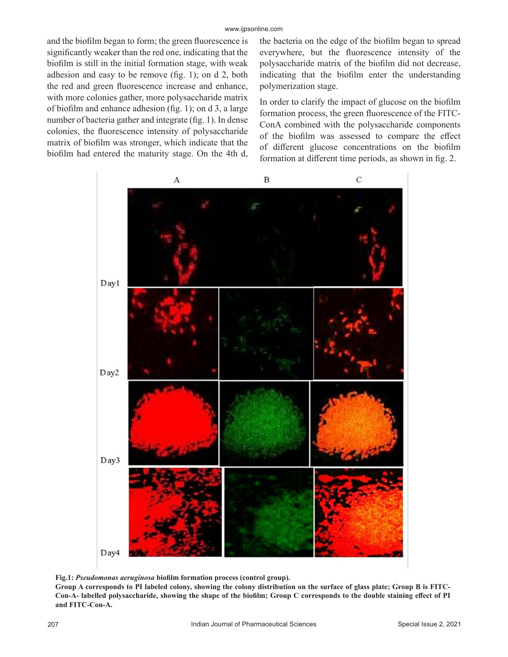and the biofilm began to form; the green fluorescence is significantly weaker than the red one, indicating that the biofilm is still in the initial formation stage, with weak adhesion and easy to be remove (fig. 1); on d 2, both the red and green fluorescence increase and enhance, with more colonies gather, more polysaccharide matrix of biofilm and enhance adhesion (fig. 1); on d 3, a large number of bacteria gather and integrate (fig. 1). In dense colonies, the fluorescence intensity of polysaccharide matrix of biofilm was stronger, which indicate that the biofilm had entered the maturity stage. On the 4th d, the bacteria on the edge of the biofilm began to spread everywhere, but the fluorescence intensity of the polysaccharide matrix of the biofilm did not decrease, indicating that the biofilm enter the understanding polymerization stage.

In order to clarify the impact of glucose on the biofilm formation process, the green fluorescence of the FITC-ConA combined with the polysaccharide components of the biofilm was assessed to compare the effect of different glucose concentrations on the biofilm formation at different time periods, as shown in fig. 2.



**Fig.1:** *Pseudomonas aeruginosa* **biofilm formation process (control group).**

**Group A corresponds to PI labeled colony, showing the colony distribution on the surface of glass plate; Group B is FITC-Con-A- labelled polysaccharide, showing the shape of the biofilm; Group C corresponds to the double staining effect of PI and FITC-Con-A.**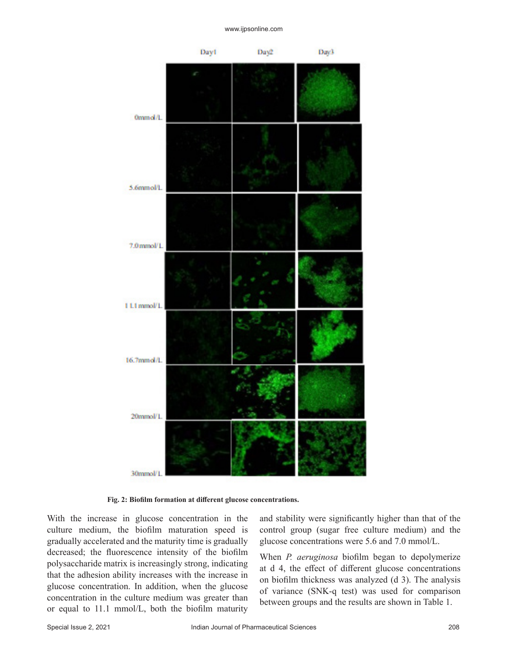

**Fig. 2: Biofilm formation at different glucose concentrations.**

With the increase in glucose concentration in the culture medium, the biofilm maturation speed is gradually accelerated and the maturity time is gradually decreased; the fluorescence intensity of the biofilm polysaccharide matrix is increasingly strong, indicating that the adhesion ability increases with the increase in glucose concentration. In addition, when the glucose concentration in the culture medium was greater than or equal to 11.1 mmol/L, both the biofilm maturity and stability were significantly higher than that of the control group (sugar free culture medium) and the glucose concentrations were 5.6 and 7.0 mmol/L.

When *P. aeruginosa* biofilm began to depolymerize at d 4, the effect of different glucose concentrations on biofilm thickness was analyzed (d 3). The analysis of variance (SNK-q test) was used for comparison between groups and the results are shown in Table 1.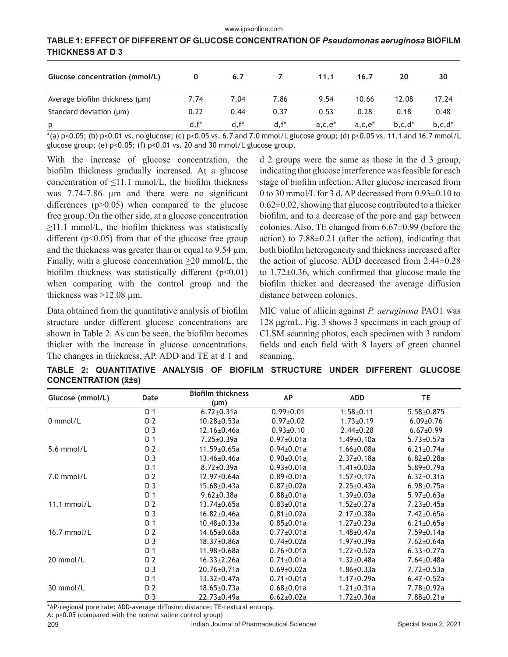#### www.ijpsonline.com

# **TABLE 1: EFFECT OF DIFFERENT OF GLUCOSE CONCENTRATION OF** *Pseudomonas aeruginosa* **BIOFILM THICKNESS AT D 3**

| Glucose concentration (mmol/L)      | $\mathbf 0$ | 6.7     |         | 11.1      | 16.7      | 20          | 30          |
|-------------------------------------|-------------|---------|---------|-----------|-----------|-------------|-------------|
| Average biofilm thickness $(\mu m)$ | 7.74        | 7.04    | 7.86    | 9.54      | 10.66     | 12.08       | 17.24       |
| Standard deviation (µm)             | 0.22        | 0.44    | 0.37    | 0.53      | 0.28      | 0.18        | 0.48        |
| p                                   | $d.f^*$     | $d.f^*$ | $d.f^*$ | $a,c,e^*$ | $a,c,e^*$ | $b, c, d^*$ | $b, c, d^*$ |

\*(a) p<0.05; (b) p<0.01 vs. no glucose; (c) p<0.05 vs. 6.7 and 7.0 mmol/L glucose group; (d) p<0.05 vs. 11.1 and 16.7 mmol/L glucose group; (e) p<0.05; (f) p<0.01 vs. 20 and 30 mmol/L glucose group.

With the increase of glucose concentration, the biofilm thickness gradually increased. At a glucose concentration of  $\leq$ 11.1 mmol/L, the biofilm thickness was 7.74-7.86  $\mu$ m and there were no significant differences  $(p>0.05)$  when compared to the glucose free group. On the other side, at a glucose concentration ≥11.1 mmol/L, the biofilm thickness was statistically different  $(p<0.05)$  from that of the glucose free group and the thickness was greater than or equal to 9.54 µm. Finally, with a glucose concentration  $\geq 20$  mmol/L, the biofilm thickness was statistically different  $(p<0.01)$ when comparing with the control group and the thickness was  $>12.08 \mu$ m.

Data obtained from the quantitative analysis of biofilm structure under different glucose concentrations are shown in Table 2. As can be seen, the biofilm becomes thicker with the increase in glucose concentrations. The changes in thickness, AP, ADD and TE at d 1 and d 2 groups were the same as those in the d 3 group, indicating that glucose interference was feasible for each stage of biofilm infection. After glucose increased from 0 to 30 mmol/L for 3 d, AP decreased from 0.93±0.10 to  $0.62\pm0.02$ , showing that glucose contributed to a thicker biofilm, and to a decrease of the pore and gap between colonies. Also, TE changed from 6.67±0.99 (before the action) to  $7.88\pm0.21$  (after the action), indicating that both biofilm heterogeneity and thickness increased after the action of glucose. ADD decreased from 2.44±0.28 to 1.72±0.36, which confirmed that glucose made the biofilm thicker and decreased the average diffusion distance between colonies.

MIC value of allicin against *P. aeruginosa* PAO1 was 128 μg/mL. Fig. 3 shows 3 specimens in each group of CLSM scanning photos, each specimen with 3 random fields and each field with 8 layers of green channel scanning.

**TABLE 2: QUANTITATIVE ANALYSIS OF BIOFILM STRUCTURE UNDER DIFFERENT GLUCOSE CONCENTRATION (x̄±s)**

| Glucose (mmol/L) | Date           | <b>Biofilm thickness</b><br>$(\mu m)$ | <b>AP</b>        | <b>ADD</b>        | TE                |
|------------------|----------------|---------------------------------------|------------------|-------------------|-------------------|
| $0$ mmol/L       | D <sub>1</sub> | $6.72 \pm 0.31a$                      | $0.99 + 0.01$    | $1.58 + 0.11$     | $5.58 \pm 0.875$  |
|                  | D <sub>2</sub> | $10.28 \pm 0.53a$                     | $0.97 \pm 0.02$  | $1.73 \pm 0.19$   | $6.09 \pm 0.76$   |
|                  | D <sub>3</sub> | $12.16 \pm 0.46$ a                    | $0.93 \pm 0.10$  | $2.44 \pm 0.28$   | $6.67 \pm 0.99$   |
| $5.6$ mmol/L     | D 1            | $7.25 \pm 0.39a$                      | $0.97 \pm 0.01a$ | $1.49 \pm 0.10a$  | $5.73 \pm 0.57$ a |
|                  | D <sub>2</sub> | $11.59 \pm 0.65a$                     | $0.94 \pm 0.01a$ | $1.66 \pm 0.08a$  | $6.21 \pm 0.74$ a |
|                  | D <sub>3</sub> | 13.46±0.46a                           | $0.90 \pm 0.01a$ | $2.37 \pm 0.18a$  | $6.82{\pm}0.28a$  |
| $7.0$ mmol/L     | D 1            | $8.72 \pm 0.39a$                      | $0.93 \pm 0.01a$ | $1.41 \pm 0.03a$  | $5.89 \pm 0.79$ a |
|                  | D <sub>2</sub> | $12.97 \pm 0.64$ a                    | $0.89 \pm 0.01a$ | $1.57 \pm 0.17$ a | $6.32 \pm 0.31a$  |
|                  | D <sub>3</sub> | $15.68 \pm 0.43a$                     | $0.87 \pm 0.02a$ | $2.25 \pm 0.43a$  | $6.98 \pm 0.75a$  |
| $11.1$ mmol/L    | D <sub>1</sub> | $9.62 \pm 0.38a$                      | $0.88 \pm 0.01a$ | $1.39 \pm 0.03a$  | $5.97 \pm 0.63a$  |
|                  | D <sub>2</sub> | $13.74 \pm 0.65a$                     | $0.83 \pm 0.01a$ | $1.52 \pm 0.27a$  | $7.23 \pm 0.45a$  |
|                  | D <sub>3</sub> | $16.82{\pm}0.46a$                     | $0.81 \pm 0.02a$ | $2.17 \pm 0.38$ a | $7.42 \pm 0.65a$  |
| $16.7$ mmol/L    | D <sub>1</sub> | $10.48 + 0.33a$                       | $0.85 \pm 0.01a$ | $1.27 \pm 0.23a$  | $6.21 \pm 0.65a$  |
|                  | D <sub>2</sub> | $14.65 \pm 0.68$ a                    | $0.77 \pm 0.01a$ | $1.48 \pm 0.47$ a | $7.59 \pm 0.14a$  |
|                  | D <sub>3</sub> | $18.37{\pm}0.86a$                     | $0.74 \pm 0.02a$ | $1.97 \pm 0.39$ a | $7.62 \pm 0.64$ a |
| 20 mmol/L        | D <sub>1</sub> | $11.98 + 0.68a$                       | $0.76 \pm 0.01a$ | $1.22 \pm 0.52a$  | $6.33 \pm 0.27a$  |
|                  | D <sub>2</sub> | $16.33 \pm 2.26a$                     | $0.71 \pm 0.01a$ | $1.32 \pm 0.48$ a | $7.64 \pm 0.48$ a |
|                  | D <sub>3</sub> | $20.76 \pm 0.71a$                     | $0.69 \pm 0.02a$ | $1.86 \pm 0.33a$  | $7.72 \pm 0.53a$  |
| 30 mmol/L        | D 1            | $13.32 \pm 0.47$ a                    | $0.71 \pm 0.01a$ | $1.17 \pm 0.29a$  | $6.47 \pm 0.52a$  |
|                  | D <sub>2</sub> | $18.65 \pm 0.73a$                     | $0.68 \pm 0.01a$ | $1.21 \pm 0.31a$  | 7.78±0.92a        |
|                  | D 3            | 22.73±0.49a                           | $0.62 \pm 0.02a$ | $1.72 \pm 0.36a$  | $7.88 \pm 0.21a$  |

\*AP-regional pore rate; ADD-average diffusion distance; TE-textural entropy.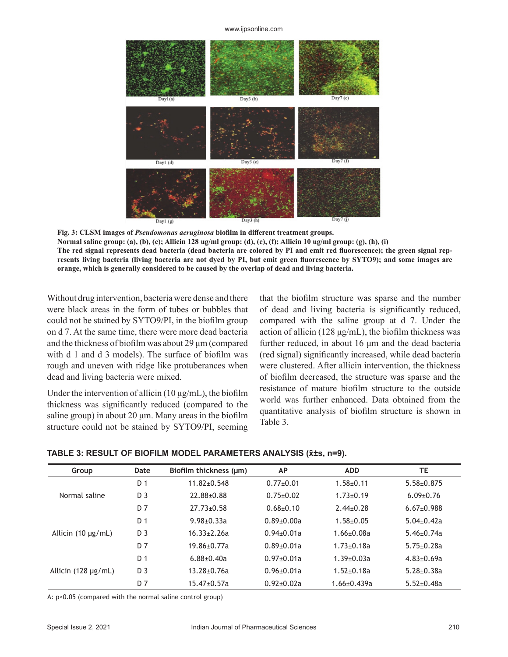www.ijpsonline.com



**Fig. 3: CLSM images of** *Pseudomonas aeruginosa* **biofilm in different treatment groups. Normal saline group: (a), (b), (c); Allicin 128 ug/ml group: (d), (e), (f); Allicin 10 ug/ml group: (g), (h), (i) The red signal represents dead bacteria (dead bacteria are colored by PI and emit red fluorescence); the green signal represents living bacteria (living bacteria are not dyed by PI, but emit green fluorescence by SYTO9); and some images are orange, which is generally considered to be caused by the overlap of dead and living bacteria.** 

Without drug intervention, bacteria were dense and there were black areas in the form of tubes or bubbles that could not be stained by SYTO9/PI, in the biofilm group on d 7. At the same time, there were more dead bacteria and the thickness of biofilm was about 29 μm (compared with d 1 and d 3 models). The surface of biofilm was rough and uneven with ridge like protuberances when dead and living bacteria were mixed.

Under the intervention of allicin  $(10 \mu g/mL)$ , the biofilm thickness was significantly reduced (compared to the saline group) in about  $20 \mu m$ . Many areas in the biofilm structure could not be stained by SYTO9/PI, seeming that the biofilm structure was sparse and the number of dead and living bacteria is significantly reduced, compared with the saline group at d 7. Under the action of allicin (128  $\mu$ g/mL), the biofilm thickness was further reduced, in about 16 μm and the dead bacteria (red signal) significantly increased, while dead bacteria were clustered. After allicin intervention, the thickness of biofilm decreased, the structure was sparse and the resistance of mature biofilm structure to the outside world was further enhanced. Data obtained from the quantitative analysis of biofilm structure is shown in Table 3.

| Group                    | Date           | Biofilm thickness (µm) | <b>AP</b>        | <b>ADD</b>         | TE                |
|--------------------------|----------------|------------------------|------------------|--------------------|-------------------|
| Normal saline            | D <sub>1</sub> | $11.82 \pm 0.548$      | $0.77+0.01$      | $1.58 + 0.11$      | $5.58 \pm 0.875$  |
|                          | D <sub>3</sub> | $22.88 + 0.88$         | $0.75 \pm 0.02$  | $1.73 \pm 0.19$    | $6.09 \pm 0.76$   |
|                          | D 7            | $27.73 \pm 0.58$       | $0.68 + 0.10$    | $2.44 \pm 0.28$    | $6.67 \pm 0.988$  |
| Allicin $(10 \mu g/mL)$  | D 1            | $9.98 + 0.33a$         | $0.89 \pm 0.00a$ | $1.58 + 0.05$      | $5.04 \pm 0.42a$  |
|                          | D <sub>3</sub> | $16.33 + 2.26a$        | $0.94 \pm 0.01a$ | $1.66 \pm 0.08a$   | $5.46 \pm 0.74a$  |
|                          | D 7            | $19.86 + 0.77a$        | $0.89 \pm 0.01a$ | $1.73 + 0.18a$     | $5.75 \pm 0.28a$  |
| Allicin $(128 \mu g/mL)$ | D <sub>1</sub> | $6.88 + 0.40a$         | $0.97 \pm 0.01a$ | $1.39 \pm 0.03a$   | $4.83 \pm 0.69a$  |
|                          | D 3            | $13.28 \pm 0.76a$      | $0.96 + 0.01a$   | $1.52 + 0.18a$     | $5.28 \pm 0.38$ a |
|                          | D 7            | $15.47 \pm 0.57$ a     | $0.92 + 0.02a$   | $1.66 \pm 0.439$ a | $5.52 \pm 0.48$ a |

A: p<0.05 (compared with the normal saline control group)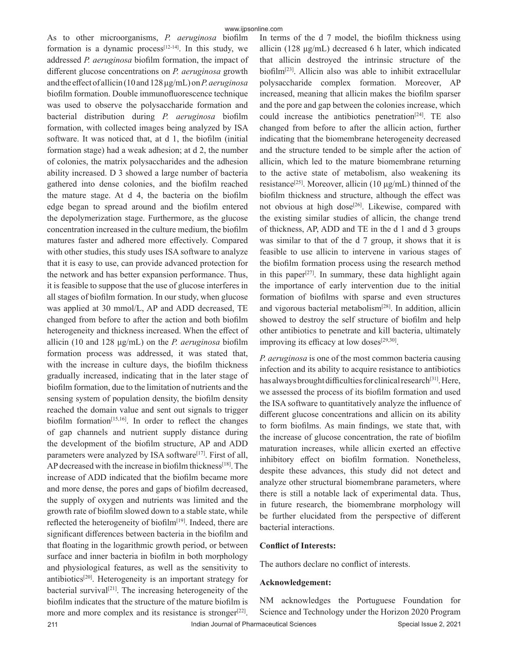As to other microorganisms, *P. aeruginosa* biofilm formation is a dynamic process<sup>[12-14]</sup>. In this study, we addressed *P. aeruginosa* biofilm formation, the impact of different glucose concentrations on *P. aeruginosa* growth and the effect of allicin (10 and 128 μg/mL) on *P. aeruginosa* biofilm formation. Double immunofluorescence technique was used to observe the polysaccharide formation and bacterial distribution during *P. aeruginosa* biofilm formation, with collected images being analyzed by ISA software. It was noticed that, at d 1, the biofilm (initial formation stage) had a weak adhesion; at d 2, the number of colonies, the matrix polysaccharides and the adhesion ability increased. D 3 showed a large number of bacteria gathered into dense colonies, and the biofilm reached the mature stage. At d 4, the bacteria on the biofilm edge began to spread around and the biofilm entered the depolymerization stage. Furthermore, as the glucose concentration increased in the culture medium, the biofilm matures faster and adhered more effectively. Compared with other studies, this study uses ISA software to analyze that it is easy to use, can provide advanced protection for the network and has better expansion performance. Thus, it is feasible to suppose that the use of glucose interferes in all stages of biofilm formation. In our study, when glucose was applied at 30 mmol/L, AP and ADD decreased, TE changed from before to after the action and both biofilm heterogeneity and thickness increased. When the effect of allicin (10 and 128 μg/mL) on the *P. aeruginosa* biofilm formation process was addressed, it was stated that, with the increase in culture days, the biofilm thickness gradually increased, indicating that in the later stage of biofilm formation, due to the limitation of nutrients and the sensing system of population density, the biofilm density reached the domain value and sent out signals to trigger biofilm formation $[15,16]$ . In order to reflect the changes of gap channels and nutrient supply distance during the development of the biofilm structure, AP and ADD parameters were analyzed by ISA software<sup>[17]</sup>. First of all, AP decreased with the increase in biofilm thickness<sup>[18]</sup>. The increase of ADD indicated that the biofilm became more and more dense, the pores and gaps of biofilm decreased, the supply of oxygen and nutrients was limited and the growth rate of biofilm slowed down to a stable state, while reflected the heterogeneity of biofilm $[19]$ . Indeed, there are significant differences between bacteria in the biofilm and that floating in the logarithmic growth period, or between surface and inner bacteria in biofilm in both morphology and physiological features, as well as the sensitivity to antibiotics<sup>[20]</sup>. Heterogeneity is an important strategy for bacterial survival<sup>[21]</sup>. The increasing heterogeneity of the biofilm indicates that the structure of the mature biofilm is more and more complex and its resistance is stronger<sup>[22]</sup>.

In terms of the d 7 model, the biofilm thickness using allicin (128 μg/mL) decreased 6 h later, which indicated that allicin destroyed the intrinsic structure of the biofilm[23]. Allicin also was able to inhibit extracellular polysaccharide complex formation. Moreover, AP increased, meaning that allicin makes the biofilm sparser and the pore and gap between the colonies increase, which could increase the antibiotics penetration<sup>[24]</sup>. TE also changed from before to after the allicin action, further indicating that the biomembrane heterogeneity decreased and the structure tended to be simple after the action of allicin, which led to the mature biomembrane returning to the active state of metabolism, also weakening its resistance<sup>[25]</sup>. Moreover, allicin (10  $\mu$ g/mL) thinned of the biofilm thickness and structure, although the effect was not obvious at high dose<sup>[26]</sup>. Likewise, compared with the existing similar studies of allicin, the change trend of thickness, AP, ADD and TE in the d 1 and d 3 groups was similar to that of the d 7 group, it shows that it is feasible to use allicin to intervene in various stages of the biofilm formation process using the research method in this paper<sup>[27]</sup>. In summary, these data highlight again the importance of early intervention due to the initial formation of biofilms with sparse and even structures and vigorous bacterial metabolism<sup>[28]</sup>. In addition, allicin showed to destroy the self structure of biofilm and help other antibiotics to penetrate and kill bacteria, ultimately improving its efficacy at low doses $[29,30]$ .

*P. aeruginosa* is one of the most common bacteria causing infection and its ability to acquire resistance to antibiotics has always brought difficulties for clinical research<sup>[31]</sup>. Here, we assessed the process of its biofilm formation and used the ISA software to quantitatively analyze the influence of different glucose concentrations and allicin on its ability to form biofilms. As main findings, we state that, with the increase of glucose concentration, the rate of biofilm maturation increases, while allicin exerted an effective inhibitory effect on biofilm formation. Nonetheless, despite these advances, this study did not detect and analyze other structural biomembrane parameters, where there is still a notable lack of experimental data. Thus, in future research, the biomembrane morphology will be further elucidated from the perspective of different bacterial interactions.

#### **Conflict of Interests:**

The authors declare no conflict of interests.

#### **Acknowledgement:**

NM acknowledges the Portuguese Foundation for Science and Technology under the Horizon 2020 Program